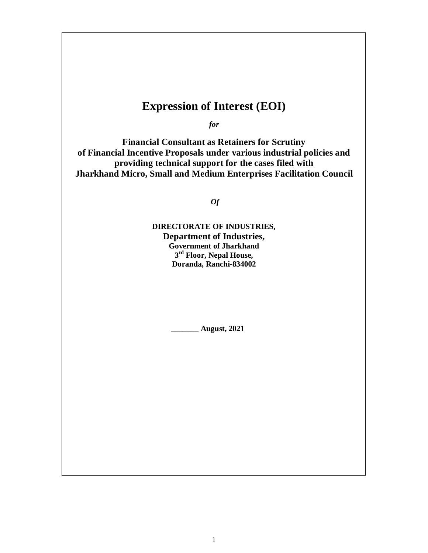# **Expression of Interest (EOI)**

*for*

**Financial Consultant as Retainers for Scrutiny of Financial Incentive Proposals under various industrial policies and providing technical support for the cases filed with Jharkhand Micro, Small and Medium Enterprises Facilitation Council**

*Of*

**DIRECTORATE OF INDUSTRIES, Department of Industries, Government of Jharkhand 3 rd Floor, Nepal House, Doranda, Ranchi-834002**

**\_\_\_\_\_\_\_ August, 2021**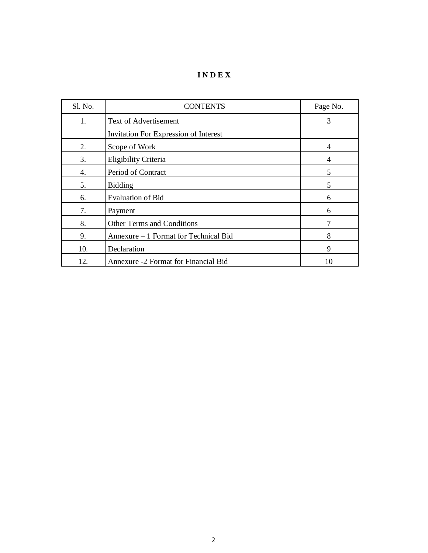**I N D E X**

| Sl. No. | <b>CONTENTS</b>                              | Page No.       |
|---------|----------------------------------------------|----------------|
| 1.      | <b>Text of Advertisement</b>                 | 3              |
|         | <b>Invitation For Expression of Interest</b> |                |
| 2.      | Scope of Work                                | $\overline{4}$ |
| 3.      | Eligibility Criteria                         | $\overline{4}$ |
| 4.      | Period of Contract                           | 5              |
| 5.      | <b>Bidding</b>                               | 5              |
| 6.      | <b>Evaluation of Bid</b>                     | 6              |
| 7.      | Payment                                      | 6              |
| 8.      | Other Terms and Conditions                   |                |
| 9.      | Annexure – 1 Format for Technical Bid        | 8              |
| 10.     | Declaration                                  | 9              |
| 12.     | Annexure -2 Format for Financial Bid         | 10             |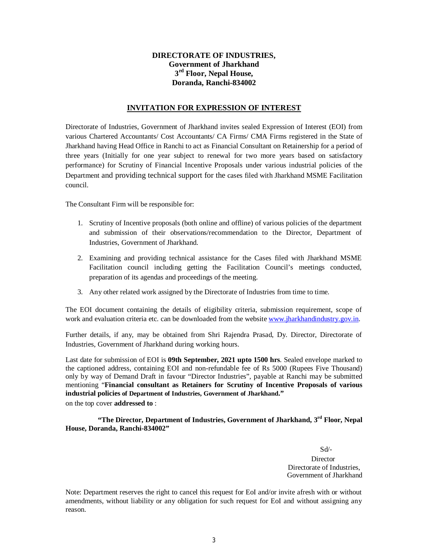#### **DIRECTORATE OF INDUSTRIES, Government of Jharkhand 3 rd Floor, Nepal House, Doranda, Ranchi-834002**

#### **INVITATION FOR EXPRESSION OF INTEREST**

Directorate of Industries, Government of Jharkhand invites sealed Expression of Interest (EOI) from various Chartered Accountants/ Cost Accountants/ CA Firms/ CMA Firms registered in the State of Jharkhand having Head Office in Ranchi to act as Financial Consultant on Retainership for a period of three years (Initially for one year subject to renewal for two more years based on satisfactory performance) for Scrutiny of Financial Incentive Proposals under various industrial policies of the Department and providing technical support for the cases filed with Jharkhand MSME Facilitation council.

The Consultant Firm will be responsible for:

- 1. Scrutiny of Incentive proposals (both online and offline) of various policies of the department and submission of their observations/recommendation to the Director, Department of Industries, Government of Jharkhand.
- 2. Examining and providing technical assistance for the Cases filed with Jharkhand MSME Facilitation council including getting the Facilitation Council's meetings conducted, preparation of its agendas and proceedings of the meeting.
- 3. Any other related work assigned by the Directorate of Industries from time to time.

The EOI document containing the details of eligibility criteria, submission requirement, scope of work and evaluation criteria etc. can be downloaded from the website www.jharkhandindustry.gov.in.

Further details, if any, may be obtained from Shri Rajendra Prasad, Dy. Director, Directorate of Industries, Government of Jharkhand during working hours.

Last date for submission of EOI is **09th September, 2021 upto 1500 hrs**. Sealed envelope marked to the captioned address, containing EOI and non-refundable fee of Rs 5000 (Rupees Five Thousand) only by way of Demand Draft in favour "Director Industries", payable at Ranchi may be submitted mentioning "**Financial consultant as Retainers for Scrutiny of Incentive Proposals of various industrial policies of Department of Industries, Government of Jharkhand."**

on the top cover **addressed to** :

#### **"The Director, Department of Industries, Government of Jharkhand, 3rd Floor, Nepal House, Doranda, Ranchi-834002"**

 Sd/- **Director**  Directorate of Industries, Government of Jharkhand

Note: Department reserves the right to cancel this request for EoI and/or invite afresh with or without amendments, without liability or any obligation for such request for EoI and without assigning any reason.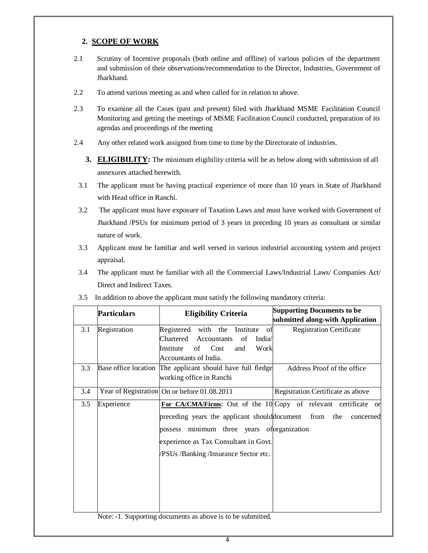## **2. SCOPE OF WORK**

- 2.1 Scrutiny of Incentive proposals (both online and offline) of various policies of the department and submission of their observations/recommendation to the Director, Industries, Government of Jharkhand.
- 2.2 To attend various meeting as and when called for in relation to above.
- 2.3 To examine all the Cases (past and present) filed with Jharkhand MSME Facilitation Council Monitoring and getting the meetings of MSME Facilitation Council conducted, preparation of its agendas and proceedings of the meeting
- 2.4 Any other related work assigned from time to time by the Directorate of industries.
	- **3. ELIGIBILITY:** The minimum eligibility criteria will be as below along with submission of all annexures attached herewith.
	- 3.1 The applicant must be having practical experience of more than 10 years in State of Jharkhand with Head office in Ranchi.
	- 3.2 The applicant must have exposure of Taxation Laws and must have worked with Government of Jharkhand /PSUs for minimum period of 3 years in preceding 10 years as consultant or similar nature of work.
	- 3.3 Applicant must be familiar and well versed in various industrial accounting system and project appraisal.
	- 3.4 The applicant must be familiar with all the Commercial Laws/Industrial Laws/ Companies Act/ Direct and Indirect Taxes.

|     | <b>Particulars</b> | <b>Eligibility Criteria</b>                                     | <b>Supporting Documents to be</b><br>submitted along-with Application |
|-----|--------------------|-----------------------------------------------------------------|-----------------------------------------------------------------------|
| 3.1 | Registration       | Registered<br>with the Institute of                             | <b>Registration Certificate</b>                                       |
|     |                    | Chartered<br>Accountants<br>India/<br>of                        |                                                                       |
|     |                    | of Cost<br>Institute<br>Work<br>and                             |                                                                       |
|     |                    | Accountants of India.                                           |                                                                       |
| 3.3 |                    | Base office location The applicant should have full fledge      | Address Proof of the office                                           |
|     |                    | working office in Ranchi                                        |                                                                       |
| 3.4 |                    | Year of Registration On or before 01.08.2011                    | Registration Certificate as above                                     |
| 3.5 | Experience         | For CA/CMA/Firms: Out of the 10 Copy of relevant certificate or |                                                                       |
|     |                    | preceding years the applicant should document from the          | concerned                                                             |
|     |                    | minimum three years of organization<br>possess                  |                                                                       |
|     |                    | experience as Tax Consultant in Govt.                           |                                                                       |
|     |                    | PSUs /Banking /Insurance Sector etc.                            |                                                                       |
|     |                    |                                                                 |                                                                       |
|     |                    |                                                                 |                                                                       |
|     |                    |                                                                 |                                                                       |
|     |                    |                                                                 |                                                                       |

3.5 In addition to above the applicant must satisfy the following mandatory criteria:

Note: -1. Supporting documents as above is to be submitted.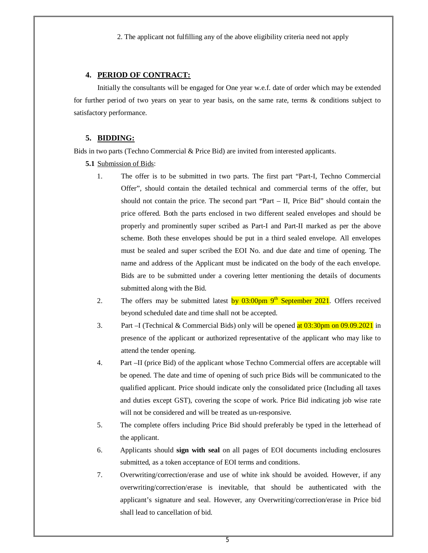2. The applicant not fulfilling any of the above eligibility criteria need not apply

#### **4. PERIOD OF CONTRACT:**

Initially the consultants will be engaged for One year w.e.f. date of order which may be extended for further period of two years on year to year basis, on the same rate, terms & conditions subject to satisfactory performance.

## **5. BIDDING:**

Bids in two parts (Techno Commercial & Price Bid) are invited from interested applicants.

**5.1** Submission of Bids:

- 1. The offer is to be submitted in two parts. The first part "Part-I, Techno Commercial Offer", should contain the detailed technical and commercial terms of the offer, but should not contain the price. The second part "Part  $-$  II, Price Bid" should contain the price offered. Both the parts enclosed in two different sealed envelopes and should be properly and prominently super scribed as Part-I and Part-II marked as per the above scheme. Both these envelopes should be put in a third sealed envelope. All envelopes must be sealed and super scribed the EOI No. and due date and time of opening. The name and address of the Applicant must be indicated on the body of the each envelope. Bids are to be submitted under a covering letter mentioning the details of documents submitted along with the Bid.
- 2. The offers may be submitted latest by 03:00pm 9<sup>th</sup> September 2021. Offers received beyond scheduled date and time shall not be accepted.
- 3. Part –I (Technical & Commercial Bids) only will be opened at  $0.3:30 \text{pm}$  on  $0.9:09:2021$  in presence of the applicant or authorized representative of the applicant who may like to attend the tender opening.
- 4. Part –II (price Bid) of the applicant whose Techno Commercial offers are acceptable will be opened. The date and time of opening of such price Bids will be communicated to the qualified applicant. Price should indicate only the consolidated price (Including all taxes and duties except GST), covering the scope of work. Price Bid indicating job wise rate will not be considered and will be treated as un-responsive.
- 5. The complete offers including Price Bid should preferably be typed in the letterhead of the applicant.
- 6. Applicants should **sign with seal** on all pages of EOI documents including enclosures submitted, as a token acceptance of EOI terms and conditions.
- 7. Overwriting/correction/erase and use of white ink should be avoided. However, if any overwriting/correction/erase is inevitable, that should be authenticated with the applicant's signature and seal. However, any Overwriting/correction/erase in Price bid shall lead to cancellation of bid.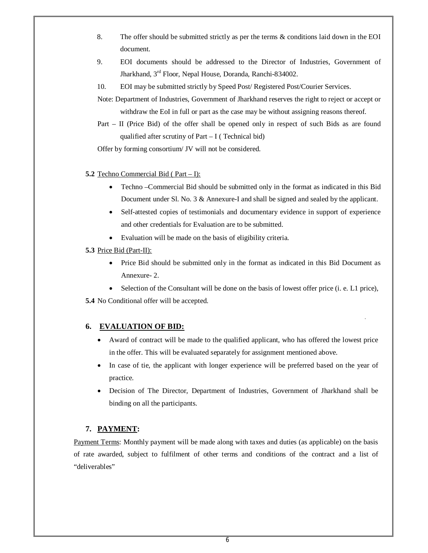- 8. The offer should be submitted strictly as per the terms & conditions laid down in the EOI document.
- 9. EOI documents should be addressed to the Director of Industries, Government of Jharkhand, 3rd Floor, Nepal House, Doranda, Ranchi-834002.
- 10. EOI may be submitted strictly by Speed Post/ Registered Post/Courier Services.
- Note: Department of Industries, Government of Jharkhand reserves the right to reject or accept or withdraw the EoI in full or part as the case may be without assigning reasons thereof.
- Part II (Price Bid) of the offer shall be opened only in respect of such Bids as are found qualified after scrutiny of Part  $-I$  (Technical bid)

Offer by forming consortium/ JV will not be considered.

- **5.2** Techno Commercial Bid ( Part I):
	- Techno –Commercial Bid should be submitted only in the format as indicated in this Bid Document under Sl. No. 3 & Annexure-I and shall be signed and sealed by the applicant.
	- Self-attested copies of testimonials and documentary evidence in support of experience and other credentials for Evaluation are to be submitted.
	- Evaluation will be made on the basis of eligibility criteria.
- **5.3** Price Bid (Part-II):
	- Price Bid should be submitted only in the format as indicated in this Bid Document as Annexure- 2.
	- Selection of the Consultant will be done on the basis of lowest offer price (i. e. L1 price),

**5.4** No Conditional offer will be accepted.

## **6. EVALUATION OF BID:**

- Award of contract will be made to the qualified applicant, who has offered the lowest price in the offer. This will be evaluated separately for assignment mentioned above.
- In case of tie, the applicant with longer experience will be preferred based on the year of practice.
- Decision of The Director, Department of Industries, Government of Jharkhand shall be binding on all the participants.

## **7. PAYMENT:**

Payment Terms: Monthly payment will be made along with taxes and duties (as applicable) on the basis of rate awarded, subject to fulfilment of other terms and conditions of the contract and a list of "deliverables"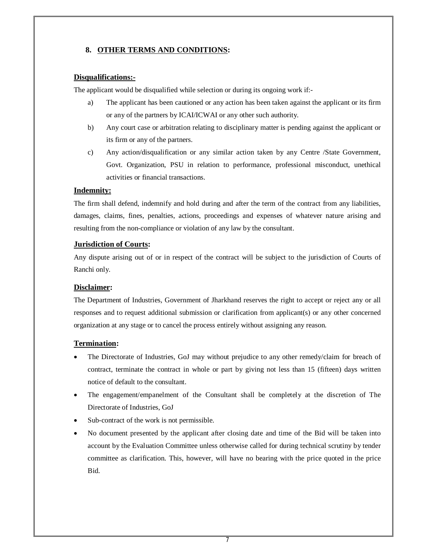## **8. OTHER TERMS AND CONDITIONS:**

#### **Disqualifications:-**

The applicant would be disqualified while selection or during its ongoing work if:-

- a) The applicant has been cautioned or any action has been taken against the applicant or its firm or any of the partners by ICAI/ICWAI or any other such authority.
- b) Any court case or arbitration relating to disciplinary matter is pending against the applicant or its firm or any of the partners.
- c) Any action/disqualification or any similar action taken by any Centre /State Government, Govt. Organization, PSU in relation to performance, professional misconduct, unethical activities or financial transactions.

#### **Indemnity:**

The firm shall defend, indemnify and hold during and after the term of the contract from any liabilities, damages, claims, fines, penalties, actions, proceedings and expenses of whatever nature arising and resulting from the non-compliance or violation of any law by the consultant.

#### **Jurisdiction of Courts:**

Any dispute arising out of or in respect of the contract will be subject to the jurisdiction of Courts of Ranchi only.

#### **Disclaimer:**

The Department of Industries, Government of Jharkhand reserves the right to accept or reject any or all responses and to request additional submission or clarification from applicant(s) or any other concerned organization at any stage or to cancel the process entirely without assigning any reason.

#### **Termination:**

- The Directorate of Industries, GoJ may without prejudice to any other remedy/claim for breach of contract, terminate the contract in whole or part by giving not less than 15 (fifteen) days written notice of default to the consultant.
- The engagement/empanelment of the Consultant shall be completely at the discretion of The Directorate of Industries, GoJ
- Sub-contract of the work is not permissible.
- No document presented by the applicant after closing date and time of the Bid will be taken into account by the Evaluation Committee unless otherwise called for during technical scrutiny by tender committee as clarification. This, however, will have no bearing with the price quoted in the price Bid.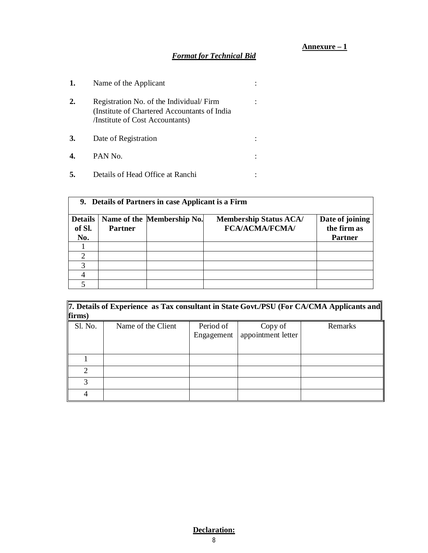## **Annexure – 1**

## *Format for Technical Bid*

| 1. | Name of the Applicant                                                                                                       |  |
|----|-----------------------------------------------------------------------------------------------------------------------------|--|
| 2. | Registration No. of the Individual/Firm<br>(Institute of Chartered Accountants of India)<br>/Institute of Cost Accountants) |  |
| 3. | Date of Registration                                                                                                        |  |
|    | PAN No.                                                                                                                     |  |
|    | Details of Head Office at Ranchi                                                                                            |  |

| 9. Details of Partners in case Applicant is a Firm |                |                            |                               |                 |
|----------------------------------------------------|----------------|----------------------------|-------------------------------|-----------------|
| <b>Details</b>                                     |                | Name of the Membership No. | <b>Membership Status ACA/</b> | Date of joining |
| of Sl.                                             | <b>Partner</b> |                            | <b>FCA/ACMA/FCMA/</b>         | the firm as     |
| No.                                                |                |                            |                               | <b>Partner</b>  |
|                                                    |                |                            |                               |                 |
| ↑                                                  |                |                            |                               |                 |
| 2                                                  |                |                            |                               |                 |
|                                                    |                |                            |                               |                 |
|                                                    |                |                            |                               |                 |

| 7. Details of Experience as Tax consultant in State Govt./PSU (For CA/CMA Applicants and |                    |            |                    |         |
|------------------------------------------------------------------------------------------|--------------------|------------|--------------------|---------|
| firms)                                                                                   |                    |            |                    |         |
| Sl. No.                                                                                  | Name of the Client | Period of  | Copy of            | Remarks |
|                                                                                          |                    | Engagement | appointment letter |         |
|                                                                                          |                    |            |                    |         |
|                                                                                          |                    |            |                    |         |
| っ                                                                                        |                    |            |                    |         |
| 2                                                                                        |                    |            |                    |         |
|                                                                                          |                    |            |                    |         |

## 8 **Declaration:**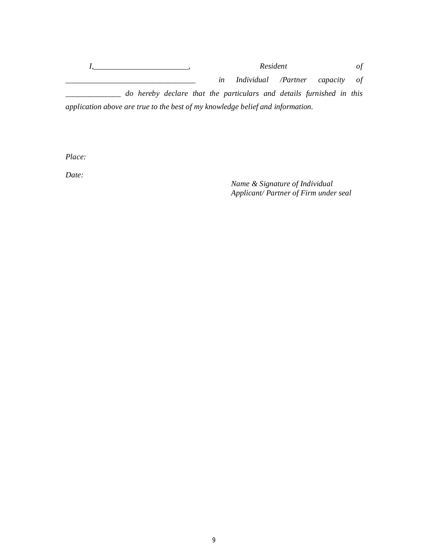*I,\_\_\_\_\_\_\_\_\_\_\_\_\_\_\_\_\_\_\_\_\_\_\_\_, Resident of \_\_\_\_\_\_\_\_\_\_\_\_\_\_\_\_\_\_\_\_\_\_\_\_\_\_\_\_\_\_\_\_\_ in Individual /Partner capacity of \_\_\_\_\_\_\_\_\_\_\_\_\_\_ do hereby declare that the particulars and details furnished in this application above are true to the best of my knowledge belief and information.*

*Place:*

*Date:*

*Name & Signature of Individual Applicant/ Partner of Firm under seal*